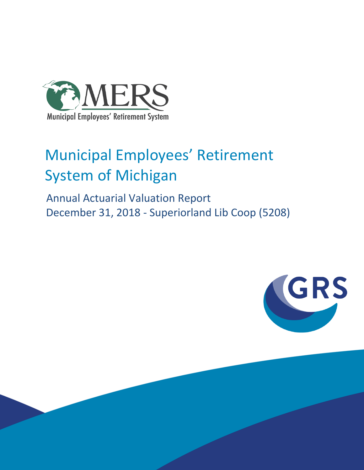

# Municipal Employees' Retirement System of Michigan

 Annual Actuarial Valuation Report December 31, 2018 - Superiorland Lib Coop (5208)

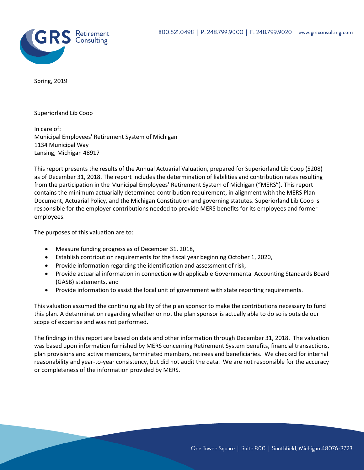

Spring, 2019

Superiorland Lib Coop

In care of: Municipal Employees' Retirement System of Michigan 1134 Municipal Way Lansing, Michigan 48917

This report presents the results of the Annual Actuarial Valuation, prepared for Superiorland Lib Coop (5208) as of December 31, 2018. The report includes the determination of liabilities and contribution rates resulting from the participation in the Municipal Employees' Retirement System of Michigan ("MERS"). This report contains the minimum actuarially determined contribution requirement, in alignment with the MERS Plan Document, Actuarial Policy, and the Michigan Constitution and governing statutes. Superiorland Lib Coop is responsible for the employer contributions needed to provide MERS benefits for its employees and former employees.

The purposes of this valuation are to:

- Measure funding progress as of December 31, 2018,
- Establish contribution requirements for the fiscal year beginning October 1, 2020,
- Provide information regarding the identification and assessment of risk,
- Provide actuarial information in connection with applicable Governmental Accounting Standards Board (GASB) statements, and
- Provide information to assist the local unit of government with state reporting requirements.

This valuation assumed the continuing ability of the plan sponsor to make the contributions necessary to fund this plan. A determination regarding whether or not the plan sponsor is actually able to do so is outside our scope of expertise and was not performed.

The findings in this report are based on data and other information through December 31, 2018. The valuation was based upon information furnished by MERS concerning Retirement System benefits, financial transactions, plan provisions and active members, terminated members, retirees and beneficiaries. We checked for internal reasonability and year-to-year consistency, but did not audit the data. We are not responsible for the accuracy or completeness of the information provided by MERS.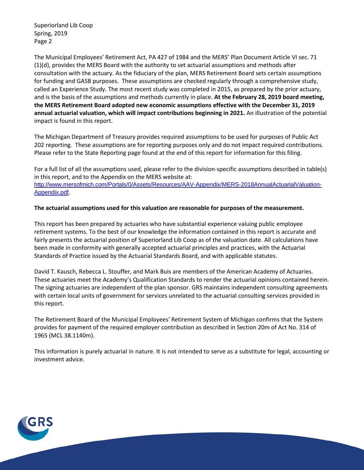Superiorland Lib Coop Spring, 2019 Page 2

The Municipal Employees' Retirement Act, PA 427 of 1984 and the MERS' Plan Document Article VI sec. 71 (1)(d), provides the MERS Board with the authority to set actuarial assumptions and methods after consultation with the actuary. As the fiduciary of the plan, MERS Retirement Board sets certain assumptions for funding and GASB purposes. These assumptions are checked regularly through a comprehensive study, called an Experience Study. The most recent study was completed in 2015, as prepared by the prior actuary, and is the basis of the assumptions and methods currently in place. **At the February 28, 2019 board meeting, the MERS Retirement Board adopted new economic assumptions effective with the December 31, 2019 annual actuarial valuation, which will impact contributions beginning in 2021.** An illustration of the potential impact is found in this report.

The Michigan Department of Treasury provides required assumptions to be used for purposes of Public Act 202 reporting. These assumptions are for reporting purposes only and do not impact required contributions. Please refer to the State Reporting page found at the end of this report for information for this filing.

For a full list of all the assumptions used, please refer to the division-specific assumptions described in table(s) in this report, and to the Appendix on the MERS website at: [http://www.mersofmich.com/Portals/0/Assets/Resources/AAV-Appendix/MERS-2018AnnualActuarialValuation-](http://www.mersofmich.com/Portals/0/Assets/Resources/AAV-Appendix/MERS-2018AnnualActuarialValuation-Appendix.pdf)[Appendix.pdf](http://www.mersofmich.com/Portals/0/Assets/Resources/AAV-Appendix/MERS-2018AnnualActuarialValuation-Appendix.pdf).

#### **The actuarial assumptions used for this valuation are reasonable for purposes of the measurement.**

This report has been prepared by actuaries who have substantial experience valuing public employee retirement systems. To the best of our knowledge the information contained in this report is accurate and fairly presents the actuarial position of Superiorland Lib Coop as of the valuation date. All calculations have been made in conformity with generally accepted actuarial principles and practices, with the Actuarial Standards of Practice issued by the Actuarial Standards Board, and with applicable statutes.

David T. Kausch, Rebecca L. Stouffer, and Mark Buis are members of the American Academy of Actuaries. These actuaries meet the Academy's Qualification Standards to render the actuarial opinions contained herein. The signing actuaries are independent of the plan sponsor. GRS maintains independent consulting agreements with certain local units of government for services unrelated to the actuarial consulting services provided in this report.

The Retirement Board of the Municipal Employees' Retirement System of Michigan confirms that the System provides for payment of the required employer contribution as described in Section 20m of Act No. 314 of 1965 (MCL 38.1140m).

This information is purely actuarial in nature. It is not intended to serve as a substitute for legal, accounting or investment advice.

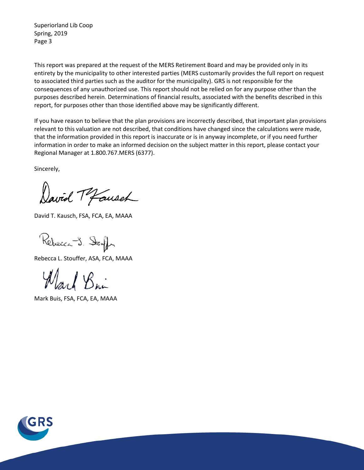Superiorland Lib Coop Spring, 2019 Page 3

This report was prepared at the request of the MERS Retirement Board and may be provided only in its entirety by the municipality to other interested parties (MERS customarily provides the full report on request to associated third parties such as the auditor for the municipality). GRS is not responsible for the consequences of any unauthorized use. This report should not be relied on for any purpose other than the purposes described herein. Determinations of financial results, associated with the benefits described in this report, for purposes other than those identified above may be significantly different.

If you have reason to believe that the plan provisions are incorrectly described, that important plan provisions relevant to this valuation are not described, that conditions have changed since the calculations were made, that the information provided in this report is inaccurate or is in anyway incomplete, or if you need further information in order to make an informed decision on the subject matter in this report, please contact your Regional Manager at 1.800.767.MERS (6377).

Sincerely,

David Mausch

David T. Kausch, FSA, FCA, EA, MAAA

Rebecca J. Stouff

Rebecca L. Stouffer, ASA, FCA, MAAA

Marl Bri

Mark Buis, FSA, FCA, EA, MAAA

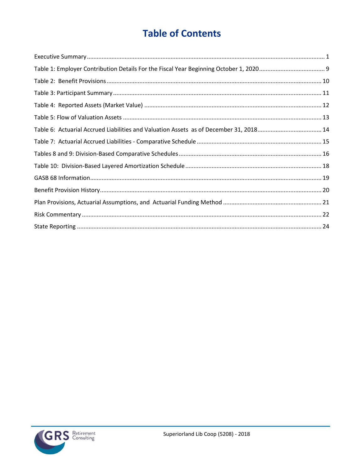# **Table of Contents**

| Table 6: Actuarial Accrued Liabilities and Valuation Assets as of December 31, 201814 |  |
|---------------------------------------------------------------------------------------|--|
|                                                                                       |  |
|                                                                                       |  |
|                                                                                       |  |
|                                                                                       |  |
|                                                                                       |  |
|                                                                                       |  |
|                                                                                       |  |
|                                                                                       |  |

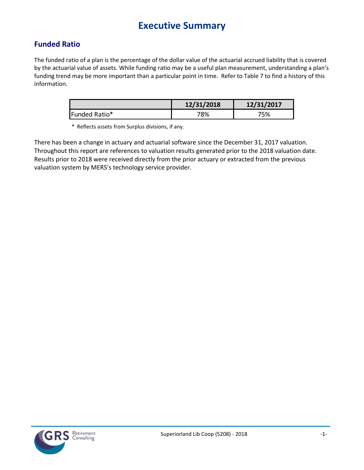## **Executive Summary**

### <span id="page-5-0"></span>**Funded Ratio**

The funded ratio of a plan is the percentage of the dollar value of the actuarial accrued liability that is covered by the actuarial value of assets. While funding ratio may be a useful plan measurement, understanding a plan's funding trend may be more important than a particular point in time. Refer to Table 7 to find a history of this information.

|               | 12/31/2018 | 12/31/2017 |
|---------------|------------|------------|
| Funded Ratio* | 78%        | '5%        |

\* Reflects assets from Surplus divisions, if any.

There has been a change in actuary and actuarial software since the December 31, 2017 valuation. Throughout this report are references to valuation results generated prior to the 2018 valuation date. Results prior to 2018 were received directly from the prior actuary or extracted from the previous valuation system by MERS's technology service provider.

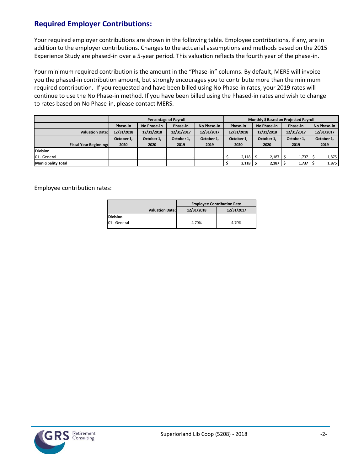### **Required Employer Contributions:**

Your required employer contributions are shown in the following table. Employee contributions, if any, are in addition to the employer contributions. Changes to the actuarial assumptions and methods based on the 2015 Experience Study are phased-in over a 5-year period. This valuation reflects the fourth year of the phase-in.

Your minimum required contribution is the amount in the "Phase-in" columns. By default, MERS will invoice you the phased-in contribution amount, but strongly encourages you to contribute more than the minimum required contribution. If you requested and have been billed using No Phase-in rates, your 2019 rates will continue to use the No Phase-in method. If you have been billed using the Phased-in rates and wish to change to rates based on No Phase-in, please contact MERS.

|                               |            |             | <b>Percentage of Payroll</b> |             | Monthly \$ Based on Projected Payroll |            |            |              |             |            |  |  |  |
|-------------------------------|------------|-------------|------------------------------|-------------|---------------------------------------|------------|------------|--------------|-------------|------------|--|--|--|
|                               | Phase-in   | No Phase-in | Phase-in                     | No Phase-in | No Phase-in<br>Phase-in               |            | Phase-in   |              | No Phase-in |            |  |  |  |
| <b>Valuation Date:</b>        | 12/31/2018 | 12/31/2018  | 12/31/2017                   | 12/31/2017  |                                       | 12/31/2018 | 12/31/2018 | 12/31/2017   |             | 12/31/2017 |  |  |  |
|                               | October 1, | October 1.  | October 1,                   | October 1.  | October 1,                            |            | October 1. | October 1.   | October 1,  |            |  |  |  |
| <b>Fiscal Year Beginning:</b> | 2020       | 2020        | 2019                         | 2019        |                                       | 2020       | 2020       | 2019         | 2019        |            |  |  |  |
| <b>Division</b>               |            |             |                              |             |                                       |            |            |              |             |            |  |  |  |
| 01 - General                  |            |             |                              |             |                                       | 2,118      | 2,187      | 1,737        |             | 1,875      |  |  |  |
| <b>Municipality Total</b>     |            |             |                              |             |                                       | 2,118      | 2,187      | $1,737$   \$ |             | 1,875      |  |  |  |

Employee contribution rates:

|                        | <b>Employee Contribution Rate</b> |            |  |  |  |  |  |
|------------------------|-----------------------------------|------------|--|--|--|--|--|
| <b>Valuation Date:</b> | 12/31/2018                        | 12/31/2017 |  |  |  |  |  |
| <b>Division</b>        |                                   |            |  |  |  |  |  |
| 01 - General           | 4.70%                             | 4.70%      |  |  |  |  |  |

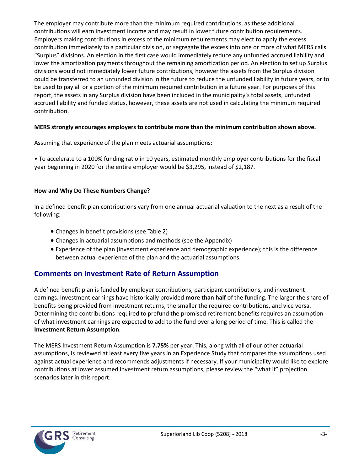The employer may contribute more than the minimum required contributions, as these additional contributions will earn investment income and may result in lower future contribution requirements. Employers making contributions in excess of the minimum requirements may elect to apply the excess contribution immediately to a particular division, or segregate the excess into one or more of what MERS calls "Surplus" divisions. An election in the first case would immediately reduce any unfunded accrued liability and lower the amortization payments throughout the remaining amortization period. An election to set up Surplus divisions would not immediately lower future contributions, however the assets from the Surplus division could be transferred to an unfunded division in the future to reduce the unfunded liability in future years, or to be used to pay all or a portion of the minimum required contribution in a future year. For purposes of this report, the assets in any Surplus division have been included in the municipality's total assets, unfunded accrued liability and funded status, however, these assets are not used in calculating the minimum required contribution.

### **MERS strongly encourages employers to contribute more than the minimum contribution shown above.**

Assuming that experience of the plan meets actuarial assumptions:

• To accelerate to a 100% funding ratio in 10 years, estimated monthly employer contributions for the fiscal year beginning in 2020 for the entire employer would be \$3,295, instead of \$2,187.

### **How and Why Do These Numbers Change?**

In a defined benefit plan contributions vary from one annual actuarial valuation to the next as a result of the following:

- Changes in benefit provisions (see Table 2)
- Changes in actuarial assumptions and methods (see the Appendix)
- Experience of the plan (investment experience and demographic experience); this is the difference between actual experience of the plan and the actuarial assumptions.

### **Comments on Investment Rate of Return Assumption**

A defined benefit plan is funded by employer contributions, participant contributions, and investment earnings. Investment earnings have historically provided **more than half** of the funding. The larger the share of benefits being provided from investment returns, the smaller the required contributions, and vice versa. Determining the contributions required to prefund the promised retirement benefits requires an assumption of what investment earnings are expected to add to the fund over a long period of time. This is called the **Investment Return Assumption**.

The MERS Investment Return Assumption is **7.75%** per year. This, along with all of our other actuarial assumptions, is reviewed at least every five years in an Experience Study that compares the assumptions used against actual experience and recommends adjustments if necessary. If your municipality would like to explore contributions at lower assumed investment return assumptions, please review the "what if" projection scenarios later in this report.

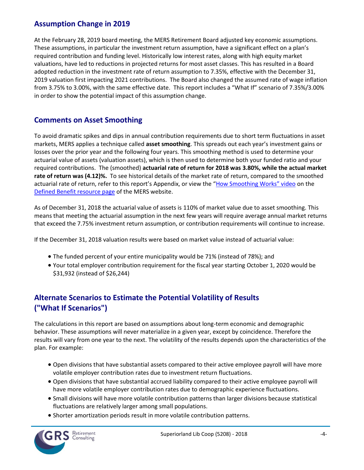### **Assumption Change in 2019**

At the February 28, 2019 board meeting, the MERS Retirement Board adjusted key economic assumptions. These assumptions, in particular the investment return assumption, have a significant effect on a plan's required contribution and funding level. Historically low interest rates, along with high equity market valuations, have led to reductions in projected returns for most asset classes. This has resulted in a Board adopted reduction in the investment rate of return assumption to 7.35%, effective with the December 31, 2019 valuation first impacting 2021 contributions. The Board also changed the assumed rate of wage inflation from 3.75% to 3.00%, with the same effective date. This report includes a "What If" scenario of 7.35%/3.00% in order to show the potential impact of this assumption change.

### **Comments on Asset Smoothing**

To avoid dramatic spikes and dips in annual contribution requirements due to short term fluctuations in asset markets, MERS applies a technique called **asset smoothing**. This spreads out each year's investment gains or losses over the prior year and the following four years. This smoothing method is used to determine your actuarial value of assets (valuation assets), which is then used to determine both your funded ratio and your required contributions. The (smoothed) **actuarial rate of return for 2018 was 3.80%, while the actual market rate of return was (4.12)%.** To see historical details of the market rate of return, compared to the smoothed actuarial rate of return, refer to this report's Appendix, or view the "How S[moothing Works" video](https://vimeo.com/mersofmich/review/290989403/5707240419) on the [Defined Benefit resource page](http://www.mersofmich.com/Employer/Programs/Defined-Benefit-Plan) of the MERS website.

As of December 31, 2018 the actuarial value of assets is 110% of market value due to asset smoothing. This means that meeting the actuarial assumption in the next few years will require average annual market returns that exceed the 7.75% investment return assumption, or contribution requirements will continue to increase.

If the December 31, 2018 valuation results were based on market value instead of actuarial value:

- The funded percent of your entire municipality would be 71% (instead of 78%); and
- Your total employer contribution requirement for the fiscal year starting October 1, 2020 would be \$31,932 (instead of \$26,244)

### **Alternate Scenarios to Estimate the Potential Volatility of Results ("What If Scenarios")**

The calculations in this report are based on assumptions about long-term economic and demographic behavior. These assumptions will never materialize in a given year, except by coincidence. Therefore the results will vary from one year to the next. The volatility of the results depends upon the characteristics of the plan. For example:

- Open divisions that have substantial assets compared to their active employee payroll will have more volatile employer contribution rates due to investment return fluctuations.
- Open divisions that have substantial accrued liability compared to their active employee payroll will have more volatile employer contribution rates due to demographic experience fluctuations.
- Small divisions will have more volatile contribution patterns than larger divisions because statistical fluctuations are relatively larger among small populations.
- Shorter amortization periods result in more volatile contribution patterns.

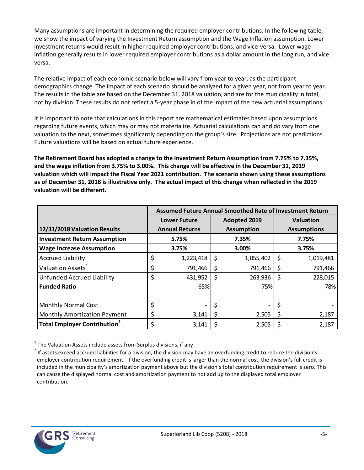Many assumptions are important in determining the required employer contributions. In the following table, we show the impact of varying the Investment Return assumption and the Wage Inflation assumption. Lower investment returns would result in higher required employer contributions, and vice-versa. Lower wage inflation generally results in lower required employer contributions as a dollar amount in the long run, and vice versa.

The relative impact of each economic scenario below will vary from year to year, as the participant demographics change. The impact of each scenario should be analyzed for a given year, not from year to year. The results in the table are based on the December 31, 2018 valuation, and are for the municipality in total, not by division. These results do not reflect a 5-year phase in of the impact of the new actuarial assumptions.

It is important to note that calculations in this report are mathematical estimates based upon assumptions regarding future events, which may or may not materialize. Actuarial calculations can and do vary from one valuation to the next, sometimes significantly depending on the group's size. Projections are not predictions. Future valuations will be based on actual future experience.

**The Retirement Board has adopted a change to the Investment Return Assumption from 7.75% to 7.35%, and the wage inflation from 3.75% to 3.00%. This change will be effective in the December 31, 2019 valuation which will impact the Fiscal Year 2021 contribution. The scenario shown using these assumptions as of December 31, 2018 is illustrative only. The actual impact of this change when reflected in the 2019 valuation will be different.**

|                                                |                       |    | Assumed Future Annual Smoothed Rate of Investment Return |                    |           |  |  |
|------------------------------------------------|-----------------------|----|----------------------------------------------------------|--------------------|-----------|--|--|
|                                                | <b>Lower Future</b>   |    | <b>Adopted 2019</b>                                      |                    | Valuation |  |  |
| 12/31/2018 Valuation Results                   | <b>Annual Returns</b> |    | <b>Assumption</b>                                        | <b>Assumptions</b> |           |  |  |
| <b>Investment Return Assumption</b>            | 5.75%                 |    | 7.35%                                                    |                    | 7.75%     |  |  |
| <b>Wage Increase Assumption</b>                | 3.75%                 |    | 3.00%                                                    |                    | 3.75%     |  |  |
| <b>Accrued Liability</b>                       | 1,223,418             | \$ | 1,055,402                                                | \$                 | 1,019,481 |  |  |
| Valuation Assets <sup>1</sup>                  | 791,466               | \$ | 791,466                                                  | \$                 | 791,466   |  |  |
| Unfunded Accrued Liability                     | \$<br>431,952         | \$ | 263,936                                                  | \$                 | 228,015   |  |  |
| <b>Funded Ratio</b>                            | 65%                   |    | 75%                                                      |                    | 78%       |  |  |
|                                                |                       |    |                                                          |                    |           |  |  |
| <b>Monthly Normal Cost</b>                     |                       | \$ |                                                          | \$                 |           |  |  |
| Monthly Amortization Payment                   | 3,141                 | Ş  | 2,505                                                    | Ş                  | 2,187     |  |  |
| <b>Total Employer Contribution<sup>2</sup></b> | 3,141                 | S  | 2,505                                                    | \$                 | 2,187     |  |  |

 $^1$  The Valuation Assets include assets from Surplus divisions, if any.



 $^2$  If assets exceed accrued liabilities for a division, the division may have an overfunding credit to reduce the division's employer contribution requirement. If the overfunding credit is larger than the normal cost, the division's full credit is included in the municipality's amortization payment above but the division's total contribution requirement is zero. This can cause the displayed normal cost and amortization payment to not add up to the displayed total employer contribution.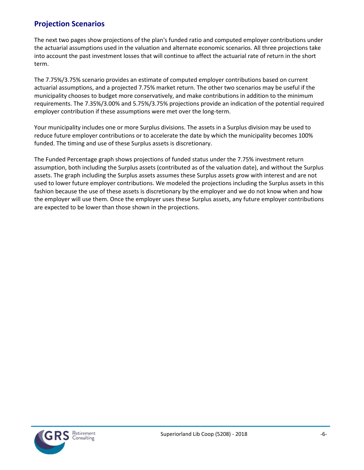### **Projection Scenarios**

The next two pages show projections of the plan's funded ratio and computed employer contributions under the actuarial assumptions used in the valuation and alternate economic scenarios. All three projections take into account the past investment losses that will continue to affect the actuarial rate of return in the short term.

The 7.75%/3.75% scenario provides an estimate of computed employer contributions based on current actuarial assumptions, and a projected 7.75% market return. The other two scenarios may be useful if the municipality chooses to budget more conservatively, and make contributions in addition to the minimum requirements. The 7.35%/3.00% and 5.75%/3.75% projections provide an indication of the potential required employer contribution if these assumptions were met over the long-term.

Your municipality includes one or more Surplus divisions. The assets in a Surplus division may be used to reduce future employer contributions or to accelerate the date by which the municipality becomes 100% funded. The timing and use of these Surplus assets is discretionary.

The Funded Percentage graph shows projections of funded status under the 7.75% investment return assumption, both including the Surplus assets (contributed as of the valuation date), and without the Surplus assets. The graph including the Surplus assets assumes these Surplus assets grow with interest and are not used to lower future employer contributions. We modeled the projections including the Surplus assets in this fashion because the use of these assets is discretionary by the employer and we do not know when and how the employer will use them. Once the employer uses these Surplus assets, any future employer contributions are expected to be lower than those shown in the projections.

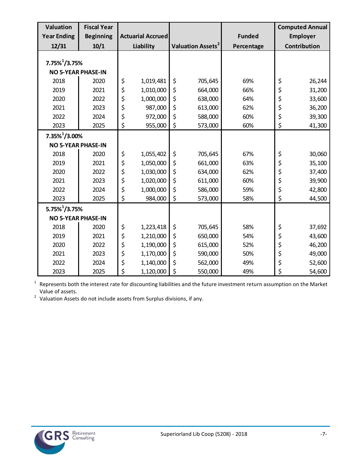| Valuation<br><b>Year Ending</b> | <b>Fiscal Year</b><br><b>Beginning</b> | <b>Actuarial Accrued</b> |           |                               | <b>Funded</b> | <b>Computed Annual</b><br><b>Employer</b> |
|---------------------------------|----------------------------------------|--------------------------|-----------|-------------------------------|---------------|-------------------------------------------|
| 12/31                           | 10/1                                   |                          | Liability | Valuation Assets <sup>2</sup> | Percentage    | Contribution                              |
|                                 |                                        |                          |           |                               |               |                                           |
| $7.75\%$ <sup>1</sup> /3.75%    |                                        |                          |           |                               |               |                                           |
| <b>NO 5-YEAR PHASE-IN</b>       |                                        |                          |           |                               |               |                                           |
| 2018                            | 2020                                   | \$                       | 1,019,481 | \$<br>705,645                 | 69%           | \$<br>26,244                              |
| 2019                            | 2021                                   | \$                       | 1,010,000 | \$<br>664,000                 | 66%           | \$<br>31,200                              |
| 2020                            | 2022                                   | \$                       | 1,000,000 | \$<br>638,000                 | 64%           | \$<br>33,600                              |
| 2021                            | 2023                                   | \$                       | 987,000   | \$<br>613,000                 | 62%           | \$<br>36,200                              |
| 2022                            | 2024                                   | \$                       | 972,000   | \$<br>588,000                 | 60%           | \$<br>39,300                              |
| 2023                            | 2025                                   | \$                       | 955,000   | \$<br>573,000                 | 60%           | \$<br>41,300                              |
| $7.35\%$ <sup>1</sup> /3.00%    |                                        |                          |           |                               |               |                                           |
| <b>NO 5-YEAR PHASE-IN</b>       |                                        |                          |           |                               |               |                                           |
| 2018                            | 2020                                   | \$                       | 1,055,402 | \$<br>705,645                 | 67%           | \$<br>30,060                              |
| 2019                            | 2021                                   | \$                       | 1,050,000 | \$<br>661,000                 | 63%           | \$<br>35,100                              |
| 2020                            | 2022                                   | \$                       | 1,030,000 | \$<br>634,000                 | 62%           | \$<br>37,400                              |
| 2021                            | 2023                                   | \$                       | 1,020,000 | \$<br>611,000                 | 60%           | \$<br>39,900                              |
| 2022                            | 2024                                   | \$                       | 1,000,000 | \$<br>586,000                 | 59%           | \$<br>42,800                              |
| 2023                            | 2025                                   | \$                       | 984,000   | \$<br>573,000                 | 58%           | \$<br>44,500                              |
| $5.75\%$ <sup>1</sup> /3.75%    |                                        |                          |           |                               |               |                                           |
| <b>NO 5-YEAR PHASE-IN</b>       |                                        |                          |           |                               |               |                                           |
| 2018                            | 2020                                   | \$                       | 1,223,418 | \$<br>705,645                 | 58%           | \$<br>37,692                              |
| 2019                            | 2021                                   | \$                       | 1,210,000 | \$<br>650,000                 | 54%           | \$<br>43,600                              |
| 2020                            | 2022                                   | \$                       | 1,190,000 | \$<br>615,000                 | 52%           | \$<br>46,200                              |
| 2021                            | 2023                                   | \$                       | 1,170,000 | \$<br>590,000                 | 50%           | \$<br>49,000                              |
| 2022                            | 2024                                   | \$                       | 1,140,000 | \$<br>562,000                 | 49%           | \$<br>52,600                              |
| 2023                            | 2025                                   | \$                       | 1,120,000 | \$<br>550,000                 | 49%           | \$<br>54,600                              |

 $1$  Represents both the interest rate for discounting liabilities and the future investment return assumption on the Market

Value of assets. 2 Valuation Assets do not include assets from Surplus divisions, if any.

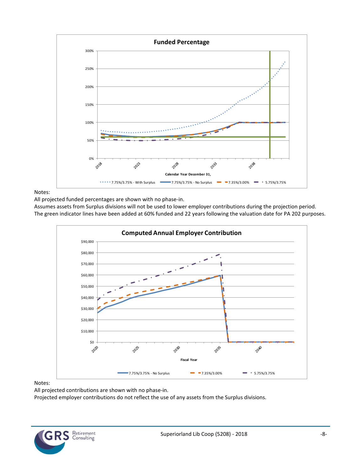

Notes:

All projected funded percentages are shown with no phase-in.

Assumes assets from Surplus divisions will not be used to lower employer contributions during the projection period. The green indicator lines have been added at 60% funded and 22 years following the valuation date for PA 202 purposes.



#### Notes:

All projected contributions are shown with no phase-in.

Projected employer contributions do not reflect the use of any assets from the Surplus divisions.

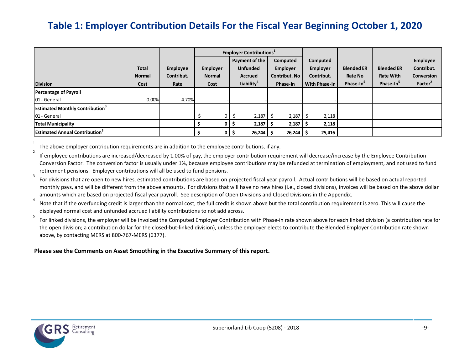## **Table 1: Employer Contribution Details For the Fiscal Year Beginning October 1, 2020**

|                                                                    |                                       |                                       |                                   | Employer Contributions <sup>1</sup>                                           |                                                                 |                                                            |                                                       |                                                                |                                                                    |
|--------------------------------------------------------------------|---------------------------------------|---------------------------------------|-----------------------------------|-------------------------------------------------------------------------------|-----------------------------------------------------------------|------------------------------------------------------------|-------------------------------------------------------|----------------------------------------------------------------|--------------------------------------------------------------------|
| <b>Division</b>                                                    | <b>Total</b><br><b>Normal</b><br>Cost | <b>Employee</b><br>Contribut.<br>Rate | Employer<br><b>Normal</b><br>Cost | Payment of the<br><b>Unfunded</b><br><b>Accrued</b><br>Liability <sup>4</sup> | Computed<br><b>Employer</b><br><b>Contribut. No</b><br>Phase-In | Computed<br><b>Employer</b><br>Contribut.<br>With Phase-In | <b>Blended ER</b><br>Rate No<br>Phase-In <sup>3</sup> | <b>Blended ER</b><br><b>Rate With</b><br>Phase-In <sup>3</sup> | Employee<br>Contribut.<br><b>Conversion</b><br>Factor <sup>2</sup> |
| <b>Percentage of Payroll</b><br>01 - General                       | 0.00%                                 | 4.70%                                 |                                   |                                                                               |                                                                 |                                                            |                                                       |                                                                |                                                                    |
| <b>Estimated Monthly Contribution</b> <sup>3</sup><br>01 - General |                                       |                                       |                                   | $0$   \$<br>$2,187$ $\frac{1}{2}$                                             | 2,187                                                           | 2,118                                                      |                                                       |                                                                |                                                                    |
| <b>Total Municipality</b>                                          |                                       |                                       |                                   | $2,187$ \$<br>0 <sub>1</sub>                                                  | 2,187                                                           | 2,118                                                      |                                                       |                                                                |                                                                    |
| <b>Estimated Annual Contribution<sup>3</sup></b>                   |                                       |                                       |                                   | $26,244$ \$<br>$01\frac{1}{2}$                                                | $26,244$   \$                                                   | 25,416                                                     |                                                       |                                                                |                                                                    |

<span id="page-13-0"></span>1 The above employer contribution requirements are in addition to the employee contributions, if any.

2 If employee contributions are increased/decreased by 1.00% of pay, the employer contribution requirement will decrease/increase by the Employee Contribution Conversion Factor. The conversion factor is usually under 1%, because employee contributions may be refunded at termination of employment, and not used to fund retirement pensions. Employer contributions will all be used to fund pensions.

3 For divisions that are open to new hires, estimated contributions are based on projected fiscal year payroll. Actual contributions will be based on actual reported monthly pays, and will be different from the above amounts. For divisions that will have no new hires (i.e., closed divisions), invoices will be based on the above dollar amounts which are based on projected fiscal year payroll. See description of Open Divisions and Closed Divisions in the Appendix.

4 Note that if the overfunding credit is larger than the normal cost, the full credit is shown above but the total contribution requirement is zero. This will cause the displayed normal cost and unfunded accrued liability contributions to not add across. 5

For linked divisions, the employer will be invoiced the Computed Employer Contribution with Phase-in rate shown above for each linked division (a contribution rate for the open division; a contribution dollar for the closed-but-linked division), unless the employer elects to contribute the Blended Employer Contribution rate shown above, by contacting MERS at 800-767-MERS (6377).

#### **Please see the Comments on Asset Smoothing in the Executive Summary of this report.**

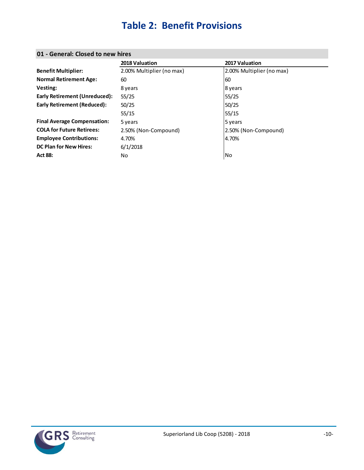## **Table 2: Benefit Provisions**

| 01 - General, Closed to hew filles |                           |                           |
|------------------------------------|---------------------------|---------------------------|
|                                    | 2018 Valuation            | 2017 Valuation            |
| <b>Benefit Multiplier:</b>         | 2.00% Multiplier (no max) | 2.00% Multiplier (no max) |
| <b>Normal Retirement Age:</b>      | 60                        | 160                       |
| <b>Vesting:</b>                    | 8 years                   | 8 years                   |
| Early Retirement (Unreduced):      | 55/25                     | 55/25                     |
| Early Retirement (Reduced):        | 50/25                     | 50/25                     |
|                                    | 55/15                     | 55/15                     |

**COLA for Future Retirees:** 2.50% (Non-Compound) 2.50% (Non-Compound)

**Final Average Compensation:** 5 years **5 years** 5 years 5 years

**Employee Contributions:** 4.70% 4.70% 4.70%

Final Average Compensation: 39 years<br> **COLA for Future Retirees:** 2.50% (Non-Compound)<br> **Employee Contributions:** 4.70%<br> **DC Plan for New Hires:** 6/1/2018<br>
Act 88: No

### <span id="page-14-0"></span>**01 - General: Closed to new hires**

**DC Plan for New Hires:** 6/1/2018

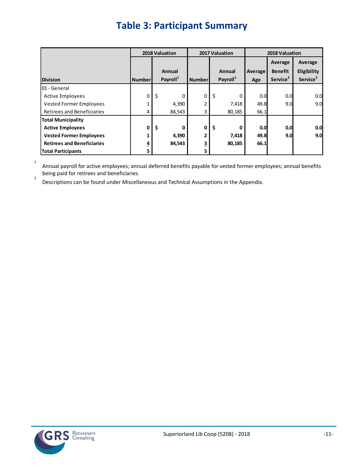# **Table 3: Participant Summary**

<span id="page-15-0"></span>

|                                   |                |        | 2018 Valuation       |                |         | 2017 Valuation       | 2018 Valuation |                                                   |                                                |  |  |
|-----------------------------------|----------------|--------|----------------------|----------------|---------|----------------------|----------------|---------------------------------------------------|------------------------------------------------|--|--|
|                                   |                |        | Annual               |                |         | Annual               | Average        | Average<br><b>Benefit</b><br>Service <sup>2</sup> | Average<br>Eligibility<br>Service <sup>2</sup> |  |  |
| <b>Division</b>                   | <b>Number</b>  |        | Payroll <sup>1</sup> | <b>Number</b>  |         | Payroll <sup>1</sup> | Age            |                                                   |                                                |  |  |
| l01 - General                     |                |        |                      |                |         |                      |                |                                                   |                                                |  |  |
| <b>Active Employees</b>           | 0              | \$     | 0                    | 0              | $\zeta$ | 0                    | 0.0            | 0.0                                               | 0.0                                            |  |  |
| Vested Former Employees           | 1              |        | 4,390                | $\overline{2}$ |         | 7,418                | 49.8           | 9.0                                               | 9.0                                            |  |  |
| Retirees and Beneficiaries        | 4              |        | 84,543               | 3              |         | 80,185               | 66.1           |                                                   |                                                |  |  |
| <b>Total Municipality</b>         |                |        |                      |                |         |                      |                |                                                   |                                                |  |  |
| <b>Active Employees</b>           | 0              | \$     | 0                    | 0              | \$      | 0                    | 0.0            | 0.0                                               | 0.0                                            |  |  |
| <b>Vested Former Employees</b>    | 1              |        | 4,390                | 2              |         | 7,418                | 49.8           | 9.0                                               | 9.0                                            |  |  |
| <b>Retirees and Beneficiaries</b> | $\overline{4}$ | 84,543 |                      | 3              | 80,185  |                      | 66.1           |                                                   |                                                |  |  |
| <b>Total Participants</b>         | 5              |        |                      | 5              |         |                      |                |                                                   |                                                |  |  |

1 Annual payroll for active employees; annual deferred benefits payable for vested former employees; annual benefits being paid for retirees and beneficiaries. 2

Descriptions can be found under Miscellaneous and Technical Assumptions in the Appendix.

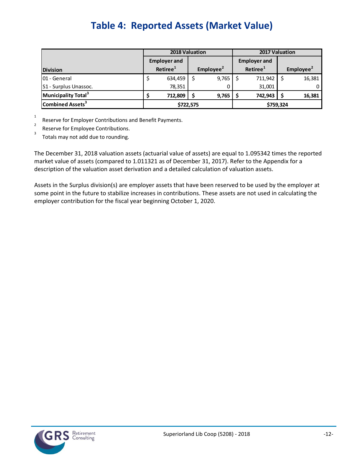# **Table 4: Reported Assets (Market Value)**

<span id="page-16-0"></span>

|                                 |   | 2018 Valuation       |                       |       | 2017 Valuation |                      |                       |        |  |
|---------------------------------|---|----------------------|-----------------------|-------|----------------|----------------------|-----------------------|--------|--|
|                                 |   | <b>Employer and</b>  |                       |       |                | <b>Employer and</b>  |                       |        |  |
| <b>Division</b>                 |   | Retiree <sup>1</sup> | Emplovee <sup>2</sup> |       |                | Retiree <sup>1</sup> | Employee <sup>2</sup> |        |  |
| 01 - General                    | Ş | 634,459              |                       | 9,765 |                | 711,942              |                       | 16,381 |  |
| <b>S1</b> - Surplus Unassoc.    |   | 78,351               |                       |       |                | 31,001               |                       |        |  |
| Municipality Total <sup>3</sup> |   | 712,809              |                       | 9,765 |                | 742,943              |                       | 16,381 |  |
| Combined Assets <sup>3</sup>    |   | \$722,575            |                       |       | \$759,324      |                      |                       |        |  |

1 2

Reserve for Employer Contributions and Benefit Payments.

Reserve for Employee Contributions. 3

Totals may not add due to rounding.

The December 31, 2018 valuation assets (actuarial value of assets) are equal to 1.095342 times the reported market value of assets (compared to 1.011321 as of December 31, 2017). Refer to the Appendix for a description of the valuation asset derivation and a detailed calculation of valuation assets.

Assets in the Surplus division(s) are employer assets that have been reserved to be used by the employer at some point in the future to stabilize increases in contributions. These assets are not used in calculating the employer contribution for the fiscal year beginning October 1, 2020.

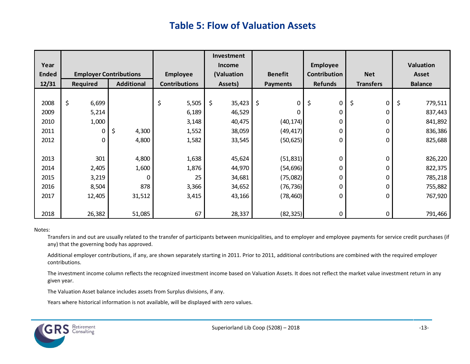### **Table 5: Flow of Valuation Assets**

<span id="page-17-0"></span>

|              |                               |                   |                      | Investment    |                 |                 |                  |                |
|--------------|-------------------------------|-------------------|----------------------|---------------|-----------------|-----------------|------------------|----------------|
| Year         |                               |                   |                      | <b>Income</b> |                 | <b>Employee</b> |                  | Valuation      |
| <b>Ended</b> | <b>Employer Contributions</b> |                   | <b>Employee</b>      | (Valuation    |                 | Contribution    | <b>Net</b>       | <b>Asset</b>   |
| 12/31        | Required                      | <b>Additional</b> | <b>Contributions</b> | Assets)       | <b>Payments</b> | <b>Refunds</b>  | <b>Transfers</b> | <b>Balance</b> |
|              |                               |                   |                      |               |                 |                 |                  |                |
| 2008         | \$<br>6,699                   |                   | \$<br>5,505          | \$<br>35,423  | \$<br>0         | \$<br>0         | \$<br>0          | \$<br>779,511  |
| 2009         | 5,214                         |                   | 6,189                | 46,529        | 0               | 0               | 0                | 837,443        |
| 2010         | 1,000                         |                   | 3,148                | 40,475        | (40, 174)       | 0               | 0                | 841,892        |
| 2011         | 0                             | \$<br>4,300       | 1,552                | 38,059        | (49, 417)       | 0               | 0                | 836,386        |
| 2012         | 0                             | 4,800             | 1,582                | 33,545        | (50, 625)       | 0               | 0                | 825,688        |
|              |                               |                   |                      |               |                 |                 |                  |                |
| 2013         | 301                           | 4,800             | 1,638                | 45,624        | (51, 831)       | 0               | 0                | 826,220        |
| 2014         | 2,405                         | 1,600             | 1,876                | 44,970        | (54, 696)       | 0               | 0                | 822,375        |
| 2015         | 3,219                         | 0                 | 25                   | 34,681        | (75,082)        | 0               | 0                | 785,218        |
| 2016         | 8,504                         | 878               | 3,366                | 34,652        | (76, 736)       | 0               | 0                | 755,882        |
| 2017         | 12,405                        | 31,512            | 3,415                | 43,166        | (78, 460)       | 0               | $\Omega$         | 767,920        |
|              |                               |                   |                      |               |                 |                 |                  |                |
| 2018         | 26,382                        | 51,085            | 67                   | 28,337        | (82, 325)       | 0               | 0                | 791,466        |

#### Notes:

Transfers in and out are usually related to the transfer of participants between municipalities, and to employer and employee payments for service credit purchases (if any) that the governing body has approved.

Additional employer contributions, if any, are shown separately starting in 2011. Prior to 2011, additional contributions are combined with the required employer contributions.

The investment income column reflects the recognized investment income based on Valuation Assets. It does not reflect the market value investment return in any given year.

The Valuation Asset balance includes assets from Surplus divisions, if any.

Years where historical information is not available, will be displayed with zero values.

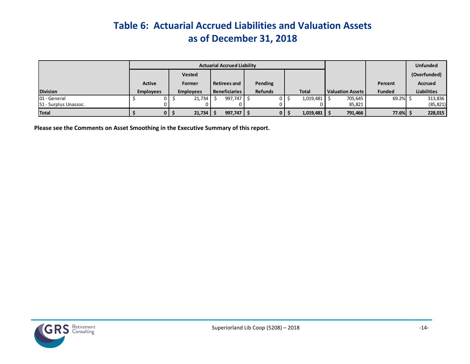# **Table 6: Actuarial Accrued Liabilities and Valuation Assets as of December 31, 2018**

|                              |                  |               |                  |                      | <b>Actuarial Accrued Liability</b> |  |                |              |              |  |                         |               | <b>Unfunded</b>    |  |  |         |                |
|------------------------------|------------------|---------------|------------------|----------------------|------------------------------------|--|----------------|--------------|--------------|--|-------------------------|---------------|--------------------|--|--|---------|----------------|
|                              |                  | <b>Vested</b> |                  |                      |                                    |  |                |              |              |  |                         |               | (Overfunded)       |  |  |         |                |
|                              | <b>Active</b>    |               | Former           |                      | <b>Retirees and</b>                |  |                |              |              |  | Pending                 |               |                    |  |  | Percent | <b>Accrued</b> |
| <b>Division</b>              | <b>Employees</b> |               | <b>Employees</b> | <b>Beneficiaries</b> |                                    |  | <b>Refunds</b> |              | <b>Total</b> |  | <b>Valuation Assets</b> | <b>Funded</b> | <b>Liabilities</b> |  |  |         |                |
| 01 - General                 |                  |               | 21,734           |                      | 997,747                            |  |                |              | 1,019,481    |  | 705,645                 | 69.2%         | 313,836            |  |  |         |                |
| <b>S1</b> - Surplus Unassoc. |                  |               |                  |                      |                                    |  |                |              |              |  | 85,821                  |               | (85, 821)          |  |  |         |                |
| <b>Total</b>                 |                  | 0 I S         | $21,734$   \$    |                      | $997,747$   \$                     |  |                | $\mathbf{0}$ | 1,019,481    |  | 791,466                 | 77.6%         | 228,015            |  |  |         |                |

<span id="page-18-0"></span>**Please see the Comments on Asset Smoothing in the Executive Summary of this report.**

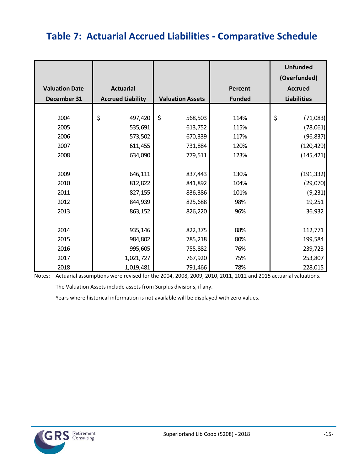# <span id="page-19-0"></span>**Table 7: Actuarial Accrued Liabilities - Comparative Schedule**

|                       |                          |                         |                | <b>Unfunded</b><br>(Overfunded) |
|-----------------------|--------------------------|-------------------------|----------------|---------------------------------|
| <b>Valuation Date</b> | <b>Actuarial</b>         |                         | <b>Percent</b> | <b>Accrued</b>                  |
| December 31           | <b>Accrued Liability</b> | <b>Valuation Assets</b> | <b>Funded</b>  | <b>Liabilities</b>              |
|                       |                          |                         |                |                                 |
| 2004                  | \$<br>497,420            | \$<br>568,503           | 114%           | \$<br>(71,083)                  |
| 2005                  | 535,691                  | 613,752                 | 115%           | (78,061)                        |
| 2006                  | 573,502                  | 670,339                 | 117%           | (96, 837)                       |
| 2007                  | 611,455                  | 731,884                 | 120%           | (120, 429)                      |
| 2008                  | 634,090                  | 779,511                 | 123%           | (145, 421)                      |
|                       |                          |                         |                |                                 |
| 2009                  | 646,111                  | 837,443                 | 130%           | (191, 332)                      |
| 2010                  | 812,822                  | 841,892                 | 104%           | (29,070)                        |
| 2011                  | 827,155                  | 836,386                 | 101%           | (9, 231)                        |
| 2012                  | 844,939                  | 825,688                 | 98%            | 19,251                          |
| 2013                  | 863,152                  | 826,220                 | 96%            | 36,932                          |
|                       |                          |                         |                |                                 |
| 2014                  | 935,146                  | 822,375                 | 88%            | 112,771                         |
| 2015                  | 984,802                  | 785,218                 | 80%            | 199,584                         |
| 2016                  | 995,605                  | 755,882                 | 76%            | 239,723                         |
| 2017                  | 1,021,727                | 767,920                 | 75%            | 253,807                         |
| 2018                  | 1,019,481                | 791,466                 | 78%            | 228,015                         |

Notes: Actuarial assumptions were revised for the 2004, 2008, 2009, 2010, 2011, 2012 and 2015 actuarial valuations.

The Valuation Assets include assets from Surplus divisions, if any.

Years where historical information is not available will be displayed with zero values.

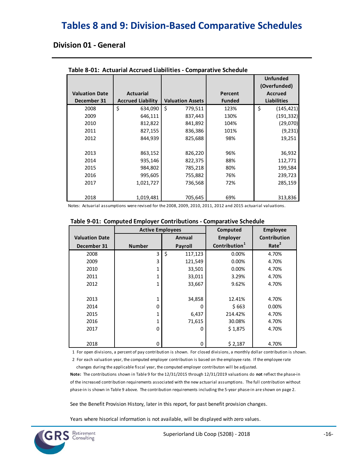### <span id="page-20-0"></span>**Tables 8 and 9: Division-Based Comparative Schedules**

### **Division 01 - General**

|                       |                          |                         |               | <b>Unfunded</b><br>(Overfunded) |
|-----------------------|--------------------------|-------------------------|---------------|---------------------------------|
| <b>Valuation Date</b> | <b>Actuarial</b>         |                         | Percent       | <b>Accrued</b>                  |
| December 31           | <b>Accrued Liability</b> | <b>Valuation Assets</b> | <b>Funded</b> | <b>Liabilities</b>              |
| 2008                  | \$<br>634,090            | Ś.<br>779,511           | 123%          | \$<br>(145, 421)                |
| 2009                  | 646,111                  | 837,443                 | 130%          | (191, 332)                      |
| 2010                  | 812,822                  | 841,892                 | 104%          | (29,070)                        |
| 2011                  | 827,155                  | 836,386                 | 101%          | (9, 231)                        |
| 2012                  | 844,939                  | 825,688                 | 98%           | 19,251                          |
|                       |                          |                         |               |                                 |
| 2013                  | 863,152                  | 826,220                 | 96%           | 36,932                          |
| 2014                  | 935,146                  | 822,375                 | 88%           | 112,771                         |
| 2015                  | 984,802                  | 785,218                 | 80%           | 199,584                         |
| 2016                  | 995,605                  | 755,882                 | 76%           | 239,723                         |
| 2017                  | 1,021,727                | 736,568                 | 72%           | 285,159                         |
|                       |                          |                         |               |                                 |
| 2018                  | 1,019,481                | 705,645                 | 69%           | 313,836                         |

**Table 8-01: Actuarial Accrued Liabilities - Comparative Schedule**

Notes: Actuarial assumptions were revised for the 2008, 2009, 2010, 2011, 2012 and 2015 actuarial valuations.

|                       | <b>Active Employees</b> |                | Computed                  | <b>Employee</b>   |
|-----------------------|-------------------------|----------------|---------------------------|-------------------|
| <b>Valuation Date</b> |                         | Annual         | <b>Employer</b>           | Contribution      |
| December 31           | <b>Number</b>           | <b>Payroll</b> | Contribution <sup>1</sup> | Rate <sup>2</sup> |
| 2008                  | 3                       | \$<br>117,123  | 0.00%                     | 4.70%             |
| 2009                  | 3                       | 121,549        | 0.00%                     | 4.70%             |
| 2010                  | 1                       | 33,501         | 0.00%                     | 4.70%             |
| 2011                  | 1                       | 33,011         | 3.29%                     | 4.70%             |
| 2012                  | 1                       | 33,667         | 9.62%                     | 4.70%             |
|                       |                         |                |                           |                   |
| 2013                  | 1                       | 34,858         | 12.41%                    | 4.70%             |
| 2014                  | 0                       | n              | \$663                     | 0.00%             |
| 2015                  | 1                       | 6,437          | 214.42%                   | 4.70%             |
| 2016                  | 1                       | 71,615         | 30.08%                    | 4.70%             |
| 2017                  | 0                       | O              | \$1,875                   | 4.70%             |
|                       |                         |                |                           |                   |
| 2018                  | 0                       | 0              | \$2,187                   | 4.70%             |

1 For open divisions, a percent of pay contribution is shown. For closed divisions, a monthly dollar contribution is shown.

 2 For each valuation year, the computed employer contribution is based on the employee rate. If the employee rate changes during the applicable fiscal year, the computed employer contributon will be adjusted.

**Note:** The contributions shown in Table 9 for the 12/31/2015 through 12/31/2019 valuations do **not** reflect the phase-in of the increased contribution requirements associated with the new actuarial assumptions. The full contribution without phase-in is shown in Table 9 above. The contribution requirements including the 5-year phase-in are shown on page 2.

See the Benefit Provision History, later in this report, for past benefit provision changes.

Years where hisorical information is not available, will be displayed with zero values.

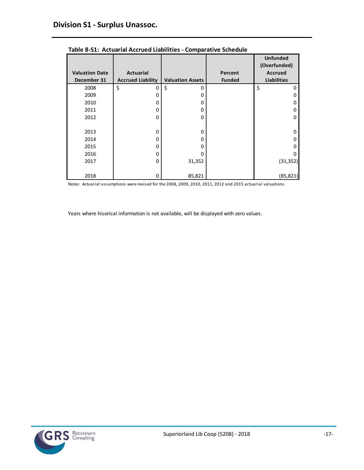|                       |                          |                         |               | <b>Unfunded</b><br>(Overfunded) |
|-----------------------|--------------------------|-------------------------|---------------|---------------------------------|
| <b>Valuation Date</b> | <b>Actuarial</b>         |                         | Percent       | <b>Accrued</b>                  |
| December 31           | <b>Accrued Liability</b> | <b>Valuation Assets</b> | <b>Funded</b> | <b>Liabilities</b>              |
| 2008                  | \$<br>0                  | \$<br>$\Omega$          |               | \$<br>0                         |
| 2009                  | 0                        | 0                       |               | 0                               |
| 2010                  | 0                        | $\Omega$                |               | 0                               |
| 2011                  | 0                        | 0                       |               | 0                               |
| 2012                  | 0                        | 0                       |               | 0                               |
|                       |                          |                         |               |                                 |
| 2013                  | 0                        | $\Omega$                |               | <sup>0</sup>                    |
| 2014                  | 0                        | $\Omega$                |               | <sup>0</sup>                    |
| 2015                  | 0                        | O                       |               | 0                               |
| 2016                  | 0                        | 0                       |               | Ω                               |
| 2017                  | 0                        | 31,352                  |               | (31, 352)                       |
|                       |                          |                         |               |                                 |
| 2018                  | 0                        | 85,821                  |               | (85, 821)                       |

**Table 8-S1: Actuarial Accrued Liabilities - Comparative Schedule**

Notes: Actuarial assumptions were revised for the 2008, 2009, 2010, 2011, 2012 and 2015 actuarial valuations.

Years where hisorical information is not available, will be displayed with zero values.

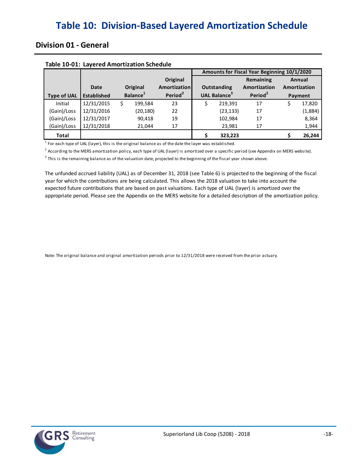### <span id="page-22-0"></span>**Division 01 - General**

|                    |                    |   |                      |                     | Amounts for Fiscal Year Beginning 10/1/2020 |                                 |                     |   |              |
|--------------------|--------------------|---|----------------------|---------------------|---------------------------------------------|---------------------------------|---------------------|---|--------------|
|                    |                    |   |                      | Original            |                                             |                                 | Remaining           |   | Annual       |
|                    | Date               |   | Original             | Amortization        |                                             | <b>Outstanding</b>              | Amortization        |   | Amortization |
| <b>Type of UAL</b> | <b>Established</b> |   | Balance <sup>1</sup> | Period <sup>2</sup> |                                             | <b>UAL Balance</b> <sup>3</sup> | Period <sup>2</sup> |   | Payment      |
| Initial            | 12/31/2015         | S | 199.584              | 23                  |                                             | 219,391                         | 17                  | S | 17,820       |
| (Gain)/Loss        | 12/31/2016         |   | (20, 180)            | 22                  |                                             | (23, 133)                       | 17                  |   | (1,884)      |
| (Gain)/Loss        | 12/31/2017         |   | 90,418               | 19                  |                                             | 102,984                         | 17                  |   | 8,364        |
| (Gain)/Loss        | 12/31/2018         |   | 21.044               | 17                  |                                             | 23,981                          | 17                  |   | 1,944        |
| <b>Total</b>       |                    |   |                      |                     |                                             | 323,223                         |                     |   | 26,244       |

#### **Table 10-01: Layered Amortization Schedule**

 $^1$  For each type of UAL (layer), this is the original balance as of the date the layer was established.

<sup>2</sup> According to the MERS amortization policy, each type of UAL (layer) is amortized over a specific period (see Appendix on MERS website).

 $3$  This is the remaining balance as of the valuation date, projected to the beginning of the fiscal year shown above.

The unfunded accrued liability (UAL) as of December 31, 2018 (see Table 6) is projected to the beginning of the fiscal appropriate period. Please see the Appendix on the MERS website for a detailed description of the amortization policy. year for which the contributions are being calculated. This allows the 2018 valuation to take into account the expected future contributions that are based on past valuations. Each type of UAL (layer) is amortized over the

Note: The original balance and original amortization periods prior to 12/31/2018 were received from the prior actuary.

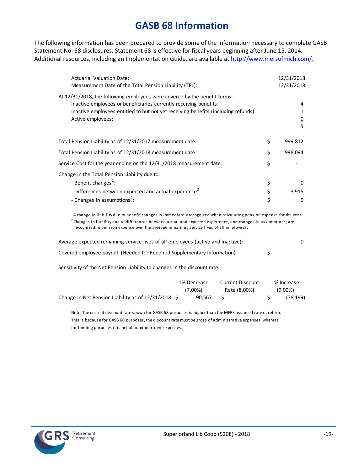### **GASB 68 Information**

<span id="page-23-0"></span>The following information has been prepared to provide some of the information necessary to complete GASB Statement No. 68 disclosures. Statement 68 is effective for fiscal years beginning after June 15, 2014. Additional resources, including an Implementation Guide, are available at [http://www.mersofmich.com/.](http://www.mersofmich.com/)

| <b>Actuarial Valuation Date:</b><br>Measurement Date of the Total Pension Liability (TPL):                                                                                                                                                                |                | 12/31/2018<br>12/31/2018 |
|-----------------------------------------------------------------------------------------------------------------------------------------------------------------------------------------------------------------------------------------------------------|----------------|--------------------------|
| At 12/31/2018, the following employees were covered by the benefit terms:<br>Inactive employees or beneficiaries currently receiving benefits:<br>Inactive employees entitled to but not yet receiving benefits (including refunds):<br>Active employees: |                | 4<br>$\overline{0}$<br>5 |
| Total Pension Liability as of 12/31/2017 measurement date:                                                                                                                                                                                                | \$             | 999,812                  |
| Total Pension Liability as of 12/31/2018 measurement date:                                                                                                                                                                                                | \$             | 998,094                  |
| Service Cost for the year ending on the 12/31/2018 measurement date:                                                                                                                                                                                      | \$             |                          |
| Change in the Total Pension Liability due to:<br>- Benefit changes <sup>1</sup> :<br>- Differences between expected and actual experience <sup>2</sup> :<br>- Changes in assumptions <sup>2</sup> :                                                       | \$<br>\$<br>\$ | 0<br>3,915<br>0          |

<sup>1</sup>A change in liability due to benefit changes is immediately recognized when calculating pension expense for the year.  $^2$  Changes in liability due to differences between actual and expected experience, and changes in assumptions, are recognized in pension expense over the average remaining service lives of all employees.

| Average expected remaining service lives of all employees (active and inactive): |   |
|----------------------------------------------------------------------------------|---|
| Covered employee payroll: (Needed for Required Supplementary Information)        | - |

Sensitivity of the Net Pension Liability to changes in the discount rate:

|                                                      | 1% Decrease | <b>Current Discount</b> |              | 1% Increase |
|------------------------------------------------------|-------------|-------------------------|--------------|-------------|
|                                                      | $(7.00\%)$  |                         | Rate (8.00%) | $(9.00\%)$  |
| Change in Net Pension Liability as of 12/31/2018: \$ | 90.567 S    |                         | $-$ S        | (78.199)    |

Note: The current discount rate shown for GASB 68 purposes is higher than the MERS assumed rate of return. This is because for GASB 68 purposes, the discount rate must be gross of administrative expenses, whereas for funding purposes it is net of administrative expenses.

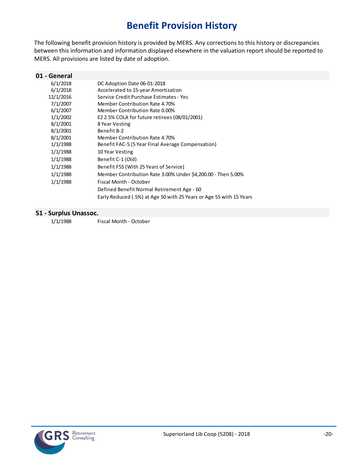# **Benefit Provision History**

<span id="page-24-0"></span>The following benefit provision history is provided by MERS. Any corrections to this history or discrepancies between this information and information displayed elsewhere in the valuation report should be reported to MERS. All provisions are listed by date of adoption.

| 01 - General |                                                                     |
|--------------|---------------------------------------------------------------------|
| 6/1/2018     | DC Adoption Date 06-01-2018                                         |
| 6/1/2018     | Accelerated to 15-year Amortization                                 |
| 12/1/2016    | Service Credit Purchase Estimates - Yes                             |
| 7/1/2007     | Member Contribution Rate 4.70%                                      |
| 6/1/2007     | Member Contribution Rate 0.00%                                      |
| 1/1/2002     | E2 2.5% COLA for future retirees (08/01/2001)                       |
| 8/1/2001     | 8 Year Vesting                                                      |
| 8/1/2001     | Benefit B-2                                                         |
| 8/1/2001     | Member Contribution Rate 4.70%                                      |
| 1/1/1988     | Benefit FAC-5 (5 Year Final Average Compensation)                   |
| 1/1/1988     | 10 Year Vesting                                                     |
| 1/1/1988     | Benefit C-1 (Old)                                                   |
| 1/1/1988     | Benefit F55 (With 25 Years of Service)                              |
| 1/1/1988     | Member Contribution Rate 3.00% Under \$4,200.00 - Then 5.00%        |
| 1/1/1988     | Fiscal Month - October                                              |
|              | Defined Benefit Normal Retirement Age - 60                          |
|              | Early Reduced (.5%) at Age 50 with 25 Years or Age 55 with 15 Years |
|              |                                                                     |

#### **S1 - Surplus Unassoc.**

1/1/1988 Fiscal Month - October

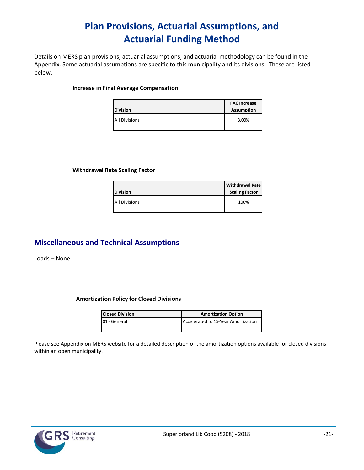# **Plan Provisions, Actuarial Assumptions, and Actuarial Funding Method**

<span id="page-25-0"></span>Details on MERS plan provisions, actuarial assumptions, and actuarial methodology can be found in the Appendix. Some actuarial assumptions are specific to this municipality and its divisions. These are listed below.

#### **Increase in Final Average Compensation**

| <b>Division</b>      | <b>FAC Increase</b><br><b>Assumption</b> |
|----------------------|------------------------------------------|
| <b>All Divisions</b> | 3.00%                                    |

#### **Withdrawal Rate Scaling Factor**

| <b>Division</b>      | <b>Withdrawal Rate</b><br><b>Scaling Factor</b> |
|----------------------|-------------------------------------------------|
| <b>All Divisions</b> | 100%                                            |

### **Miscellaneous and Technical Assumptions**

Loads – None.

#### **Amortization Policy for Closed Divisions**

| <b>Closed Division</b> | <b>Amortization Option</b>          |
|------------------------|-------------------------------------|
| 01 - General           | Accelerated to 15-Year Amortization |

Please see Appendix on MERS website for a detailed description of the amortization options available for closed divisions within an open municipality.

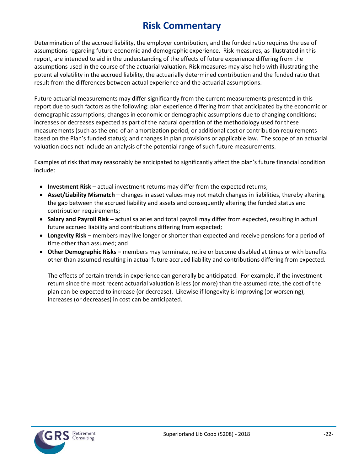# **Risk Commentary**

<span id="page-26-0"></span>Determination of the accrued liability, the employer contribution, and the funded ratio requires the use of assumptions regarding future economic and demographic experience. Risk measures, as illustrated in this report, are intended to aid in the understanding of the effects of future experience differing from the assumptions used in the course of the actuarial valuation. Risk measures may also help with illustrating the potential volatility in the accrued liability, the actuarially determined contribution and the funded ratio that result from the differences between actual experience and the actuarial assumptions.

Future actuarial measurements may differ significantly from the current measurements presented in this report due to such factors as the following: plan experience differing from that anticipated by the economic or demographic assumptions; changes in economic or demographic assumptions due to changing conditions; increases or decreases expected as part of the natural operation of the methodology used for these measurements (such as the end of an amortization period, or additional cost or contribution requirements based on the Plan's funded status); and changes in plan provisions or applicable law. The scope of an actuarial valuation does not include an analysis of the potential range of such future measurements.

Examples of risk that may reasonably be anticipated to significantly affect the plan's future financial condition include:

- **Investment Risk** actual investment returns may differ from the expected returns;
- **Asset/Liability Mismatch** changes in asset values may not match changes in liabilities, thereby altering the gap between the accrued liability and assets and consequently altering the funded status and contribution requirements;
- **Salary and Payroll Risk** actual salaries and total payroll may differ from expected, resulting in actual future accrued liability and contributions differing from expected;
- **Longevity Risk** members may live longer or shorter than expected and receive pensions for a period of time other than assumed; and
- **Other Demographic Risks –** members may terminate, retire or become disabled at times or with benefits other than assumed resulting in actual future accrued liability and contributions differing from expected.

The effects of certain trends in experience can generally be anticipated. For example, if the investment return since the most recent actuarial valuation is less (or more) than the assumed rate, the cost of the plan can be expected to increase (or decrease). Likewise if longevity is improving (or worsening), increases (or decreases) in cost can be anticipated.

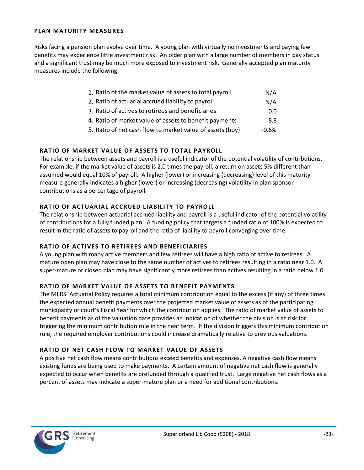#### **PLAN MATURITY MEASURES**

Risks facing a pension plan evolve over time. A young plan with virtually no investments and paying few benefits may experience little investment risk. An older plan with a large number of members in pay status and a significant trust may be much more exposed to investment risk. Generally accepted plan maturity measures include the following:

| 1. Ratio of the market value of assets to total payroll   |     |
|-----------------------------------------------------------|-----|
| 2. Ratio of actuarial accrued liability to payroll        | N/A |
| 3. Ratio of actives to retirees and beneficiaries         | 0.0 |
| 4. Ratio of market value of assets to benefit payments    | 8.8 |
| 5. Ratio of net cash flow to market value of assets (boy) |     |

#### **RATIO OF MARKET VALUE OF ASSETS TO TOTAL PAYROLL**

The relationship between assets and payroll is a useful indicator of the potential volatility of contributions. For example, if the market value of assets is 2.0 times the payroll, a return on assets 5% different than assumed would equal 10% of payroll. A higher (lower) or increasing (decreasing) level of this maturity measure generally indicates a higher (lower) or increasing (decreasing) volatility in plan sponsor contributions as a percentage of payroll.

#### **RATIO OF ACTUARIAL ACCRUED LIABILITY TO PAYROLL**

The relationship between actuarial accrued liability and payroll is a useful indicator of the potential volatility of contributions for a fully funded plan. A funding policy that targets a funded ratio of 100% is expected to result in the ratio of assets to payroll and the ratio of liability to payroll converging over time.

#### **RATIO OF ACTIVES TO RETIREES AND BENEFICIARIES**

A young plan with many active members and few retirees will have a high ratio of active to retirees. A mature open plan may have close to the same number of actives to retirees resulting in a ratio near 1.0. A super-mature or closed plan may have significantly more retirees than actives resulting in a ratio below 1.0.

#### **RATIO OF MARKET VALUE OF ASSETS TO BENEFIT PAYMENTS**

The MERS' Actuarial Policy requires a total minimum contribution equal to the excess (if any) of three times the expected annual benefit payments over the projected market value of assets as of the participating municipality or court's Fiscal Year for which the contribution applies. The ratio of market value of assets to benefit payments as of the valuation date provides an indication of whether the division is at risk for triggering the minimum contribution rule in the near term. If the division triggers this minimum contribution rule, the required employer contributions could increase dramatically relative to previous valuations.

#### **RATIO OF NET CASH FLOW TO MARKET VALUE OF ASSETS**

A positive net cash flow means contributions exceed benefits and expenses. A negative cash flow means existing funds are being used to make payments. A certain amount of negative net cash flow is generally expected to occur when benefits are prefunded through a qualified trust. Large negative net cash flows as a percent of assets may indicate a super-mature plan or a need for additional contributions.